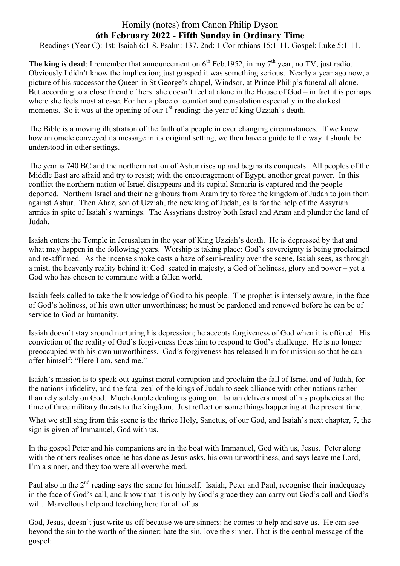## Homily (notes) from Canon Philip Dyson **6th February 2022 - Fifth Sunday in Ordinary Time**

Readings (Year C): 1st: Isaiah 6:1-8. Psalm: 137. 2nd: 1 Corinthians 15:1-11. Gospel: Luke 5:1-11.

**The king is dead**: I remember that announcement on  $6<sup>th</sup>$  Feb.1952, in my 7<sup>th</sup> year, no TV, just radio. Obviously I didn't know the implication; just grasped it was something serious. Nearly a year ago now, a picture of his successor the Queen in St George's chapel, Windsor, at Prince Philip's funeral all alone. But according to a close friend of hers: she doesn't feel at alone in the House of God – in fact it is perhaps where she feels most at ease. For her a place of comfort and consolation especially in the darkest moments. So it was at the opening of our  $1<sup>st</sup>$  reading: the year of king Uzziah's death.

The Bible is a moving illustration of the faith of a people in ever changing circumstances. If we know how an oracle conveyed its message in its original setting, we then have a guide to the way it should be understood in other settings.

The year is 740 BC and the northern nation of Ashur rises up and begins its conquests. All peoples of the Middle East are afraid and try to resist; with the encouragement of Egypt, another great power. In this conflict the northern nation of Israel disappears and its capital Samaria is captured and the people deported. Northern Israel and their neighbours from Aram try to force the kingdom of Judah to join them against Ashur. Then Ahaz, son of Uzziah, the new king of Judah, calls for the help of the Assyrian armies in spite of Isaiah's warnings. The Assyrians destroy both Israel and Aram and plunder the land of Judah.

Isaiah enters the Temple in Jerusalem in the year of King Uzziah's death. He is depressed by that and what may happen in the following years. Worship is taking place: God's sovereignty is being proclaimed and re-affirmed. As the incense smoke casts a haze of semi-reality over the scene, Isaiah sees, as through a mist, the heavenly reality behind it: God seated in majesty, a God of holiness, glory and power – yet a God who has chosen to commune with a fallen world.

Isaiah feels called to take the knowledge of God to his people. The prophet is intensely aware, in the face of God's holiness, of his own utter unworthiness; he must be pardoned and renewed before he can be of service to God or humanity.

Isaiah doesn't stay around nurturing his depression; he accepts forgiveness of God when it is offered. His conviction of the reality of God's forgiveness frees him to respond to God's challenge. He is no longer preoccupied with his own unworthiness. God's forgiveness has released him for mission so that he can offer himself: "Here I am, send me."

Isaiah's mission is to speak out against moral corruption and proclaim the fall of Israel and of Judah, for the nations infidelity, and the fatal zeal of the kings of Judah to seek alliance with other nations rather than rely solely on God. Much double dealing is going on. Isaiah delivers most of his prophecies at the time of three military threats to the kingdom. Just reflect on some things happening at the present time.

What we still sing from this scene is the thrice Holy, Sanctus, of our God, and Isaiah's next chapter, 7, the sign is given of Immanuel, God with us.

In the gospel Peter and his companions are in the boat with Immanuel, God with us, Jesus. Peter along with the others realises once he has done as Jesus asks, his own unworthiness, and says leave me Lord, I'm a sinner, and they too were all overwhelmed.

Paul also in the 2<sup>nd</sup> reading says the same for himself. Isaiah, Peter and Paul, recognise their inadequacy in the face of God's call, and know that it is only by God's grace they can carry out God's call and God's will. Marvellous help and teaching here for all of us.

God, Jesus, doesn't just write us off because we are sinners: he comes to help and save us. He can see beyond the sin to the worth of the sinner: hate the sin, love the sinner. That is the central message of the gospel: